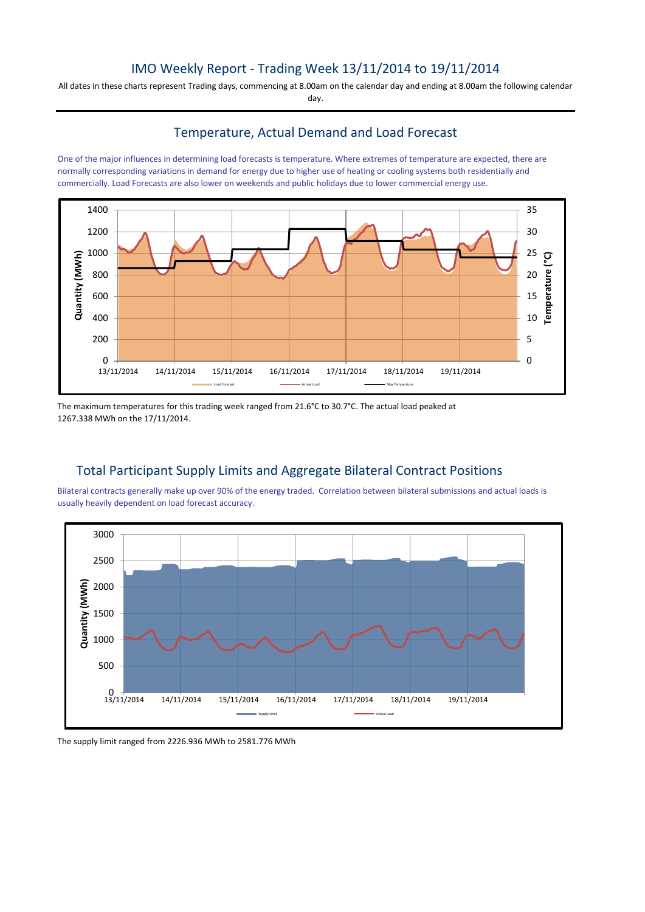# IMO Weekly Report - Trading Week 13/11/2014 to 19/11/2014

All dates in these charts represent Trading days, commencing at 8.00am on the calendar day and ending at 8.00am the following calendar day.

## Temperature, Actual Demand and Load Forecast

One of the major influences in determining load forecasts is temperature. Where extremes of temperature are expected, there are normally corresponding variations in demand for energy due to higher use of heating or cooling systems both residentially and commercially. Load Forecasts are also lower on weekends and public holidays due to lower commercial energy use.



The maximum temperatures for this trading week ranged from 21.6°C to 30.7°C. The actual load peaked at 1267.338 MWh on the 17/11/2014.

# Total Participant Supply Limits and Aggregate Bilateral Contract Positions

Bilateral contracts generally make up over 90% of the energy traded. Correlation between bilateral submissions and actual loads is usually heavily dependent on load forecast accuracy.



The supply limit ranged from 2226.936 MWh to 2581.776 MWh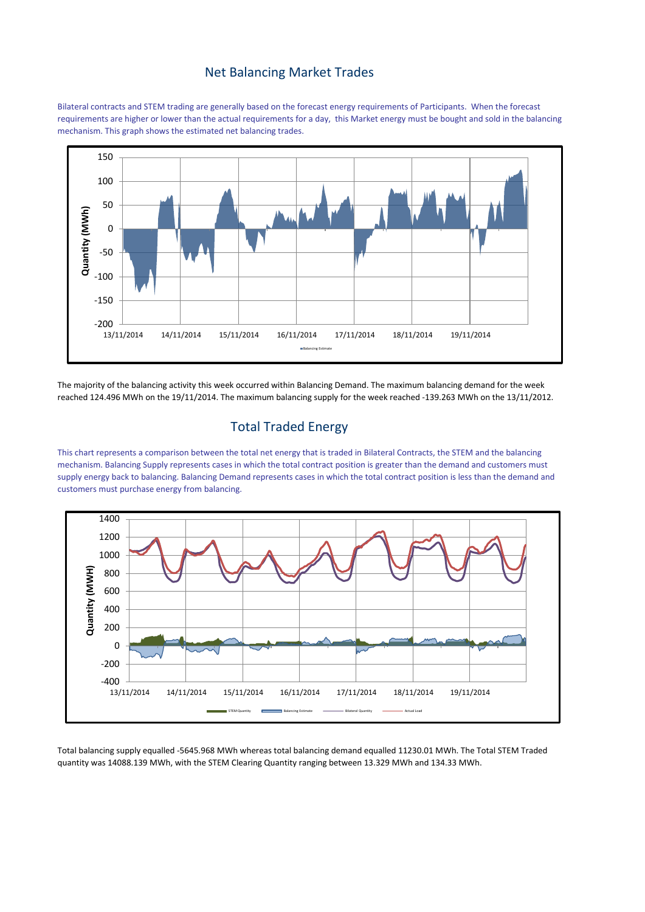#### Net Balancing Market Trades

Bilateral contracts and STEM trading are generally based on the forecast energy requirements of Participants. When the forecast requirements are higher or lower than the actual requirements for a day, this Market energy must be bought and sold in the balancing mechanism. This graph shows the estimated net balancing trades.



The majority of the balancing activity this week occurred within Balancing Demand. The maximum balancing demand for the week reached 124.496 MWh on the 19/11/2014. The maximum balancing supply for the week reached -139.263 MWh on the 13/11/2012.

## Total Traded Energy

This chart represents a comparison between the total net energy that is traded in Bilateral Contracts, the STEM and the balancing mechanism. Balancing Supply represents cases in which the total contract position is greater than the demand and customers must supply energy back to balancing. Balancing Demand represents cases in which the total contract position is less than the demand and customers must purchase energy from balancing.



Total balancing supply equalled -5645.968 MWh whereas total balancing demand equalled 11230.01 MWh. The Total STEM Traded quantity was 14088.139 MWh, with the STEM Clearing Quantity ranging between 13.329 MWh and 134.33 MWh.